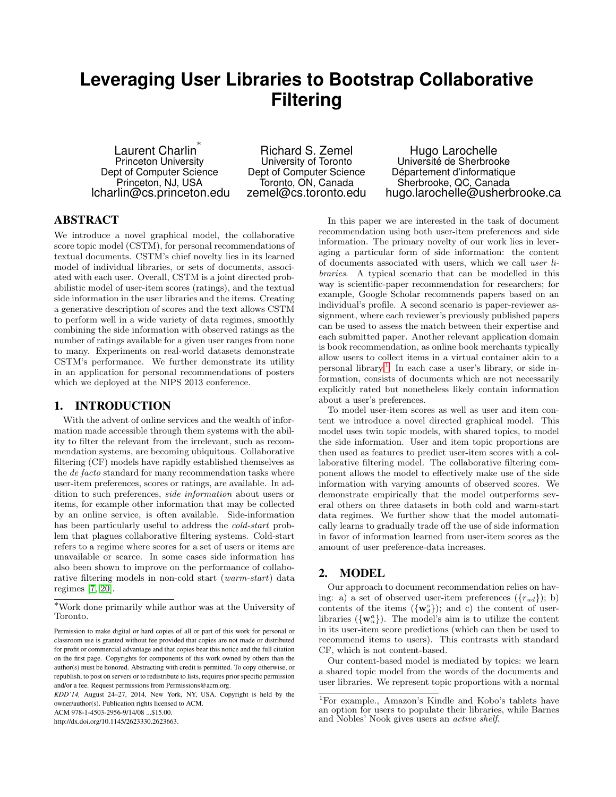# **Leveraging User Libraries to Bootstrap Collaborative Filtering**

Laurent Charlin<sup>\*</sup> Princeton University Dept of Computer Science Princeton, NJ, USA lcharlin@cs.princeton.edu

Richard S. Zemel University of Toronto Dept of Computer Science Toronto, ON, Canada zemel@cs.toronto.edu

Hugo Larochelle Université de Sherbrooke Département d'informatique Sherbrooke, QC, Canada hugo.larochelle@usherbrooke.ca

# ABSTRACT

We introduce a novel graphical model, the collaborative score topic model (CSTM), for personal recommendations of textual documents. CSTM's chief novelty lies in its learned model of individual libraries, or sets of documents, associated with each user. Overall, CSTM is a joint directed probabilistic model of user-item scores (ratings), and the textual side information in the user libraries and the items. Creating a generative description of scores and the text allows CSTM to perform well in a wide variety of data regimes, smoothly combining the side information with observed ratings as the number of ratings available for a given user ranges from none to many. Experiments on real-world datasets demonstrate CSTM's performance. We further demonstrate its utility in an application for personal recommendations of posters which we deployed at the NIPS 2013 conference.

# 1. INTRODUCTION

With the advent of online services and the wealth of information made accessible through them systems with the ability to filter the relevant from the irrelevant, such as recommendation systems, are becoming ubiquitous. Collaborative filtering (CF) models have rapidly established themselves as the *de facto* standard for many recommendation tasks where user-item preferences, scores or ratings, are available. In addition to such preferences, *side information* about users or items, for example other information that may be collected by an online service, is often available. Side-information has been particularly useful to address the *cold-start* problem that plagues collaborative filtering systems. Cold-start refers to a regime where scores for a set of users or items are unavailable or scarce. In some cases side information has also been shown to improve on the performance of collaborative filtering models in non-cold start (*warm-start*) data regimes [\[7,](#page-8-0) [20\]](#page-8-1).

*KDD'14,* August 24–27, 2014, New York, NY, USA. Copyright is held by the owner/author(s). Publication rights licensed to ACM.

ACM 978-1-4503-2956-9/14/08 ...\$15.00.

http://dx.doi.org/10.1145/2623330.2623663.

In this paper we are interested in the task of document recommendation using both user-item preferences and side information. The primary novelty of our work lies in leveraging a particular form of side information: the content of documents associated with users, which we call *user libraries*. A typical scenario that can be modelled in this way is scientific-paper recommendation for researchers; for example, Google Scholar recommends papers based on an individual's profile. A second scenario is paper-reviewer assignment, where each reviewer's previously published papers can be used to assess the match between their expertise and each submitted paper. Another relevant application domain is book recommendation, as online book merchants typically allow users to collect items in a virtual container akin to a personal library.<sup>[1](#page-0-0)</sup> In each case a user's library, or side information, consists of documents which are not necessarily explicitly rated but nonetheless likely contain information about a user's preferences.

To model user-item scores as well as user and item content we introduce a novel directed graphical model. This model uses twin topic models, with shared topics, to model the side information. User and item topic proportions are then used as features to predict user-item scores with a collaborative filtering model. The collaborative filtering component allows the model to effectively make use of the side information with varying amounts of observed scores. We demonstrate empirically that the model outperforms several others on three datasets in both cold and warm-start data regimes. We further show that the model automatically learns to gradually trade off the use of side information in favor of information learned from user-item scores as the amount of user preference-data increases.

# 2. MODEL

Our approach to document recommendation relies on having: a) a set of observed user-item preferences  $({r_{ud}})$ ; b) contents of the items  $({\lbrace w_d^s \rbrace})$ ; and c) the content of userlibraries  $({\bf w}_u^a)$ . The model's aim is to utilize the content in its user-item score predictions (which can then be used to recommend items to users). This contrasts with standard CF, which is not content-based.

Our content-based model is mediated by topics: we learn a shared topic model from the words of the documents and user libraries. We represent topic proportions with a normal

<sup>∗</sup>Work done primarily while author was at the University of Toronto.

Permission to make digital or hard copies of all or part of this work for personal or classroom use is granted without fee provided that copies are not made or distributed for profit or commercial advantage and that copies bear this notice and the full citation on the first page. Copyrights for components of this work owned by others than the author(s) must be honored. Abstracting with credit is permitted. To copy otherwise, or republish, to post on servers or to redistribute to lists, requires prior specific permission and/or a fee. Request permissions from Permissions@acm.org.

<span id="page-0-0"></span><sup>1</sup>For example., Amazon's Kindle and Kobo's tablets have an option for users to populate their libraries, while Barnes and Nobles' Nook gives users an *active shelf*.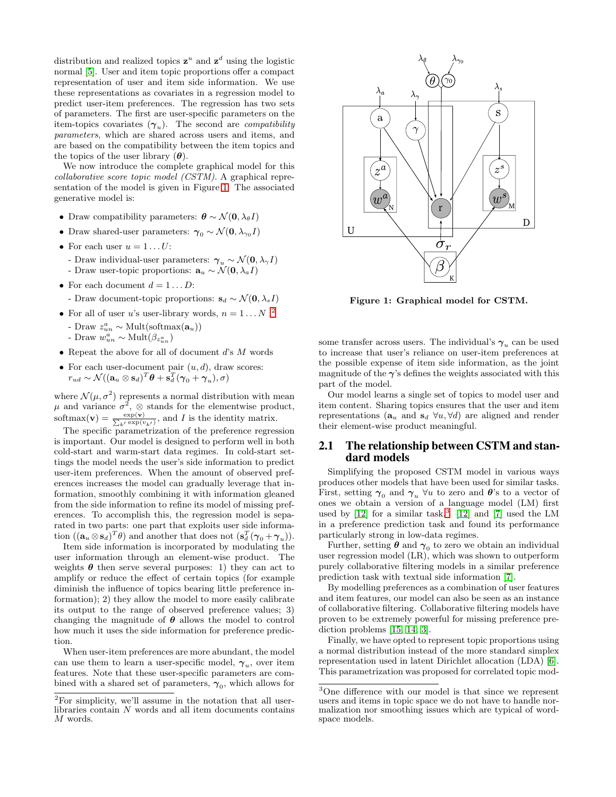distribution and realized topics  $z^u$  and  $z^d$  using the logistic normal [\[5\]](#page-8-2). User and item topic proportions offer a compact representation of user and item side information. We use these representations as covariates in a regression model to predict user-item preferences. The regression has two sets of parameters. The first are user-specific parameters on the item-topics covariates  $(\gamma_u)$ . The second are *compatibility parameters*, which are shared across users and items, and are based on the compatibility between the item topics and the topics of the user library  $(\theta)$ .

We now introduce the complete graphical model for this *collaborative score topic model (CSTM)*. A graphical representation of the model is given in Figure [1.](#page-1-0) The associated generative model is:

- Draw compatibility parameters:  $\theta \sim \mathcal{N}(0, \lambda_{\theta} I)$
- Draw shared-user parameters:  $\gamma_0 \sim \mathcal{N}(\mathbf{0}, \lambda_{\gamma_0} I)$
- For each user  $u = 1 \dots U$ :
	- Draw individual-user parameters:  $\gamma_u \sim \mathcal{N}(\mathbf{0}, \lambda_{\gamma}I)$
	- Draw user-topic proportions:  $\mathbf{a}_u \sim \mathcal{N}(\mathbf{0}, \lambda_a I)$
- For each document  $d = 1 \dots D$ : - Draw document-topic proportions:  $\mathbf{s}_d \sim \mathcal{N}(\mathbf{0}, \lambda_s I)$
- For all of user u's user-library words,  $n = 1...N$ :<sup>[2](#page-1-1)</sup>
	- Draw  $z_{un}^a \sim \text{Mult}(\text{softmax}(\mathbf{a}_u))$ - Draw  $w_{un}^a \sim \text{Mult}(\beta_{z_{un}^a})$
- Repeat the above for all of document  $d$ 's  $M$  words
- For each user-document pair  $(u, d)$ , draw scores:  $r_{ud} \sim \mathcal{N}((\mathbf{a}_u \otimes \mathbf{s}_d)^T \boldsymbol{\theta} + \mathbf{s}_d^T(\boldsymbol{\gamma}_0 + \boldsymbol{\gamma}_u), \sigma)$

where  $\mathcal{N}(\mu, \sigma^2)$  represents a normal distribution with mean  $\mu$  and variance  $\sigma^2$ ,  $\otimes$  stands for the elementwise product, softmax(**v**) =  $\frac{\exp(\mathbf{v})}{\sum_{v \in \mathcal{V}} \exp(v)}$  $\frac{\exp(\mathbf{v})}{k' \exp(v_{k'})}$ , and I is the identity matrix.

The specific parametrization of the preference regression is important. Our model is designed to perform well in both cold-start and warm-start data regimes. In cold-start settings the model needs the user's side information to predict user-item preferences. When the amount of observed preferences increases the model can gradually leverage that information, smoothly combining it with information gleaned from the side information to refine its model of missing preferences. To accomplish this, the regression model is separated in two parts: one part that exploits user side information  $((\mathbf{a}_u \otimes \mathbf{s}_d)^T \theta)$  and another that does not  $(\mathbf{s}_d^T(\boldsymbol{\gamma}_0 + \boldsymbol{\gamma}_u)).$ 

Item side information is incorporated by modulating the user information through an element-wise product. The weights  $\theta$  then serve several purposes: 1) they can act to amplify or reduce the effect of certain topics (for example diminish the influence of topics bearing little preference information); 2) they allow the model to more easily calibrate its output to the range of observed preference values; 3) changing the magnitude of  $\theta$  allows the model to control how much it uses the side information for preference prediction.

When user-item preferences are more abundant, the model can use them to learn a user-specific model,  $\gamma_u$ , over item features. Note that these user-specific parameters are combined with a shared set of parameters,  $\gamma_0$ , which allows for



<span id="page-1-0"></span>Figure 1: Graphical model for CSTM.

some transfer across users. The individual's  $\gamma_u$  can be used to increase that user's reliance on user-item preferences at the possible expense of item side information, as the joint magnitude of the  $\gamma$ 's defines the weights associated with this part of the model.

Our model learns a single set of topics to model user and item content. Sharing topics ensures that the user and item representations ( $\mathbf{a}_u$  and  $\mathbf{s}_d \ \forall u, \forall d$ ) are aligned and render their element-wise product meaningful.

## <span id="page-1-3"></span>2.1 The relationship between CSTM and standard models

Simplifying the proposed CSTM model in various ways produces other models that have been used for similar tasks. First, setting  $\gamma_0$  and  $\gamma_u$   $\forall u$  to zero and  $\theta$ 's to a vector of ones we obtain a version of a language model (LM) first used by  $[12]$  for a similar task.<sup>[3](#page-1-2)</sup>  $[12]$  and  $[7]$  used the LM in a preference prediction task and found its performance particularly strong in low-data regimes.

Further, setting  $\theta$  and  $\gamma_0$  to zero we obtain an individual user regression model (LR), which was shown to outperform purely collaborative filtering models in a similar preference prediction task with textual side information [\[7\]](#page-8-0).

By modelling preferences as a combination of user features and item features, our model can also be seen as an instance of collaborative filtering. Collaborative filtering models have proven to be extremely powerful for missing preference prediction problems [\[15,](#page-8-4) [14,](#page-8-5) [3\]](#page-8-6).

Finally, we have opted to represent topic proportions using a normal distribution instead of the more standard simplex representation used in latent Dirichlet allocation (LDA) [\[6\]](#page-8-7). This parametrization was proposed for correlated topic mod-

<span id="page-1-1"></span><sup>2</sup>For simplicity, we'll assume in the notation that all userlibraries contain N words and all item documents contains M words.

<span id="page-1-2"></span><sup>3</sup>One difference with our model is that since we represent users and items in topic space we do not have to handle normalization nor smoothing issues which are typical of wordspace models.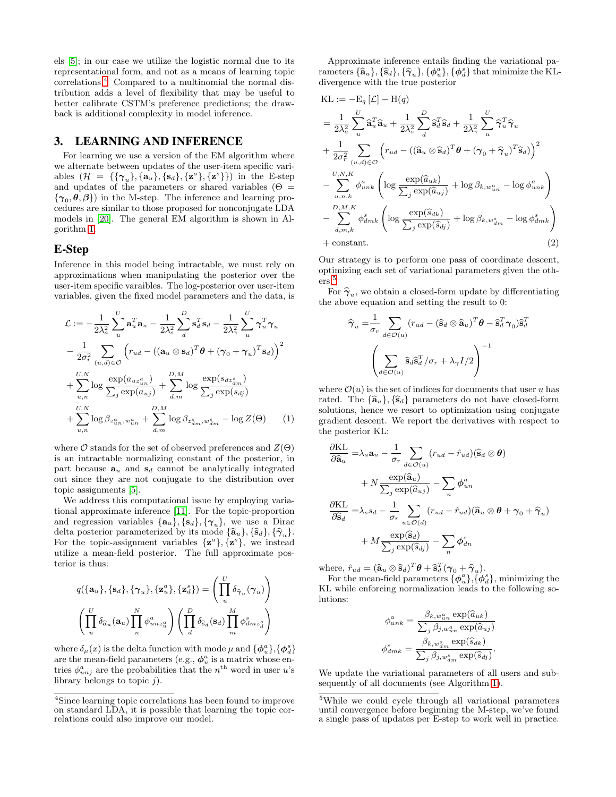els [\[5\]](#page-8-2); in our case we utilize the logistic normal due to its representational form, and not as a means of learning topic correlations.[4](#page-2-0) Compared to a multinomial the normal distribution adds a level of flexibility that may be useful to better calibrate CSTM's preference predictions; the drawback is additional complexity in model inference.

# 3. LEARNING AND INFERENCE

For learning we use a version of the EM algorithm where we alternate between updates of the user-item specific variables  $(\mathcal{H} = {\{\{\boldsymbol{\gamma}_u\}, \{\mathbf{a}_u\}, \{\mathbf{s}_d\}, \{\mathbf{z}^a\}, \{\mathbf{z}^s\}\}})$  in the E-step and updates of the parameters or shared variables ( $\Theta =$  $\{\gamma_0, \theta, \beta\}$  in the M-step. The inference and learning procedures are similar to those proposed for nonconjugate LDA models in [\[20\]](#page-8-1). The general EM algorithm is shown in Algorithm [1.](#page-3-0)

# E-Step

Inference in this model being intractable, we must rely on approximations when manipulating the posterior over the user-item specific varaibles. The log-posterior over user-item variables, given the fixed model parameters and the data, is

$$
\mathcal{L} := -\frac{1}{2\lambda_a^2} \sum_{u}^{U} \mathbf{a}_u^T \mathbf{a}_u - \frac{1}{2\lambda_s^2} \sum_{d}^{D} \mathbf{s}_d^T \mathbf{s}_d - \frac{1}{2\lambda_\gamma^2} \sum_{u}^{U} \gamma_u^T \gamma_u
$$
  

$$
- \frac{1}{2\sigma_r^2} \sum_{(u,d)\in\mathcal{O}} \left( r_{ud} - \left( (\mathbf{a}_u \otimes \mathbf{s}_d)^T \boldsymbol{\theta} + (\gamma_0 + \gamma_u)^T \mathbf{s}_d \right) \right)^2
$$
  

$$
+ \sum_{u,n}^{U,N} \log \frac{\exp(a_{uz_{un}^a})}{\sum_j \exp(a_{uj})} + \sum_{d,m}^{D,M} \log \frac{\exp(s_{dz_{dm}^s})}{\sum_j \exp(s_{dj})}
$$
  

$$
+ \sum_{u,n}^{U,N} \log \beta_{z_{un}^a, w_{un}^a} + \sum_{d,m}^{D,M} \log \beta_{z_{dm}^s, w_{dm}^s} - \log Z(\Theta) \qquad (1)
$$

where  $\mathcal O$  stands for the set of observed preferences and  $Z(\Theta)$ is an intractable normalizing constant of the posterior, in part because  $\mathbf{a}_u$  and  $\mathbf{s}_d$  cannot be analytically integrated out since they are not conjugate to the distribution over topic assignments [\[5\]](#page-8-2).

We address this computational issue by employing variational approximate inference [\[11\]](#page-8-8). For the topic-proportion and regression variables  $\{a_u\}, \{s_d\}, \{\gamma_u\},\$  we use a Dirac delta posterior parameterized by its mode  $\{\widehat{\mathbf{a}}_u\}, \{\widehat{\mathbf{s}}_d\}, \{\widehat{\boldsymbol{\gamma}}_u\}.$ For the topic-assignment variables  $\{z^a\}$ ,  $\{z^s\}$ , we instead utilize a mean-field posterior. The full approximate posterior is thus:

$$
q(\{\mathbf{a}_u\}, \{\mathbf{s}_d\}, \{\boldsymbol{\gamma}_u\}, \{\mathbf{z}_u^a\}, \{\mathbf{z}_d^s\}) = \left(\prod_u^U \delta_{\widehat{\boldsymbol{\gamma}}_u}(\boldsymbol{\gamma}_u)\right)
$$

$$
\left(\prod_u^U \delta_{\widehat{\mathbf{a}}_u}(\mathbf{a}_u) \prod_n^N \phi^a_{unz_u^a}\right) \left(\prod_d^D \delta_{\widehat{\mathbf{s}}_d}(\mathbf{s}_d) \prod_m^M \phi^s_{dmz_d^s}\right)
$$

where  $\delta_{\mu}(x)$  is the delta function with mode  $\mu$  and  $\{\boldsymbol{\phi}_{u}^{a}\}, \{\boldsymbol{\phi}_{d}^{s}\}$ are the mean-field parameters (e.g.,  $\phi_u^a$  is a matrix whose entries  $\phi_{unj}^a$  are the probabilities that the  $n^{\text{th}}$  word in user u's library belongs to topic  $j$ ).

Approximate inference entails finding the variational parameters  $\{\hat{\mathbf{a}}_u\}, \{\hat{\mathbf{s}}_d\}, \{\hat{\mathbf{y}}_u\}, \{\phi^a_u\}, \{\phi^s_d\}$  that minimize the KLdivergence with the true posterior

$$
KL := -E_q \left[ \mathcal{L} \right] - H(q)
$$
\n
$$
= \frac{1}{2\lambda_a^2} \sum_u \hat{\mathbf{a}}_u^T \hat{\mathbf{a}}_u + \frac{1}{2\lambda_s^2} \sum_d \hat{\mathbf{s}}_d^T \hat{\mathbf{s}}_d + \frac{1}{2\lambda_\gamma^2} \sum_u \hat{\mathbf{a}}_u^T \hat{\mathbf{\gamma}}_u
$$
\n
$$
+ \frac{1}{2\sigma_r^2} \sum_{(u,d)\in\mathcal{O}} \left( r_{ud} - \left( (\hat{\mathbf{a}}_u \otimes \hat{\mathbf{s}}_d)^T \boldsymbol{\theta} + (\boldsymbol{\gamma}_0 + \hat{\boldsymbol{\gamma}}_u)^T \hat{\mathbf{s}}_d \right) \right)^2
$$
\n
$$
- \sum_{u,n,k} U, N, K
$$
\n
$$
- \sum_{u,n,k} \phi_{unk}^a \left( \log \frac{\exp(\hat{a}_{uk})}{\sum_j \exp(\hat{a}_{uj})} + \log \beta_{k,w_{un}^a} - \log \phi_{unk}^a \right)
$$
\n
$$
- \sum_{d,m,k} U, M, K
$$
\n
$$
+ \sum_{u,n,k} \phi_{almk}^s \left( \log \frac{\exp(\hat{s}_{dk})}{\sum_j \exp(\hat{s}_{dj})} + \log \beta_{k,w_{dm}^s} - \log \phi_{dmk}^s \right)
$$
\n
$$
+ \text{constant.} \tag{2}
$$

Our strategy is to perform one pass of coordinate descent, optimizing each set of variational parameters given the others.[5](#page-2-1)

For  $\hat{\gamma}_u$ , we obtain a closed-form update by differentiating the above equation and setting the result to 0:

$$
\widehat{\gamma}_u = \frac{1}{\sigma_r} \sum_{d \in \mathcal{O}(u)} (r_{ud} - (\widehat{\mathbf{s}}_d \otimes \widehat{\mathbf{a}}_u)^T \boldsymbol{\theta} - \widehat{\mathbf{s}}_d^T \boldsymbol{\gamma}_0) \widehat{\mathbf{s}}_d^T
$$

$$
\left( \sum_{d \in \mathcal{O}(u)} \widehat{\mathbf{s}}_d \widehat{\mathbf{s}}_d^T / \sigma_r + \lambda_\gamma I/2 \right)^{-1}
$$

where  $\mathcal{O}(u)$  is the set of indices for documents that user u has rated. The  $\{\hat{\mathbf{a}}_u\}, \{\hat{\mathbf{s}}_d\}$  parameters do not have closed-form solutions, hence we resort to optimization using conjugate gradient descent. We report the derivatives with respect to the posterior KL:

$$
\frac{\partial \text{KL}}{\partial \hat{\mathbf{a}}_u} = \lambda_a \mathbf{a}_u - \frac{1}{\sigma_r} \sum_{d \in \mathcal{O}(u)} (r_{ud} - \hat{r}_{ud}) (\hat{\mathbf{s}}_d \otimes \boldsymbol{\theta}) \n+ N \frac{\exp(\hat{\mathbf{a}}_u)}{\sum_j \exp(\hat{a}_{uj})} - \sum_n \boldsymbol{\phi}_{un}^a
$$
\n
$$
\frac{\partial \text{KL}}{\partial \hat{\mathbf{s}}_d} = \lambda_s s_d - \frac{1}{\sigma_r} \sum_{u \in \mathcal{O}(d)} (r_{ud} - \hat{r}_{ud}) (\hat{\mathbf{a}}_u \otimes \boldsymbol{\theta} + \boldsymbol{\gamma}_0 + \hat{\boldsymbol{\gamma}}_u) \n+ M \frac{\exp(\hat{\mathbf{s}}_d)}{\sum_j \exp(\hat{s}_{dj})} - \sum_n \boldsymbol{\phi}_{dn}^s
$$

where,  $\hat{r}_{ud} = (\hat{\mathbf{a}}_u \otimes \hat{\mathbf{s}}_d)^T \boldsymbol{\theta} + \hat{\mathbf{s}}_d^T (\gamma_0 + \hat{\gamma}_u).$ 

For the mean-field parameters  $\{\phi^a_u\}, \{\phi^s_d\},$  minimizing the KL while enforcing normalization leads to the following solutions:

$$
\phi_{unk}^{a} = \frac{\beta_{k,w_{un}^{a}} \exp(\hat{a}_{uk})}{\sum_{j} \beta_{j,w_{un}^{a}} \exp(\hat{a}_{uj})}
$$

$$
\phi_{dmk}^{s} = \frac{\beta_{k,w_{dm}^{s}} \exp(\hat{s}_{dk})}{\sum_{j} \beta_{j,w_{dm}^{s}} \exp(\hat{s}_{dj})}.
$$

We update the variational parameters of all users and subsequently of all documents (see Algorithm [1\)](#page-3-0).

<span id="page-2-0"></span><sup>4</sup>Since learning topic correlations has been found to improve on standard LDA, it is possible that learning the topic correlations could also improve our model.

<span id="page-2-1"></span><sup>5</sup>While we could cycle through all variational parameters until convergence before beginning the M-step, we've found a single pass of updates per E-step to work well in practice.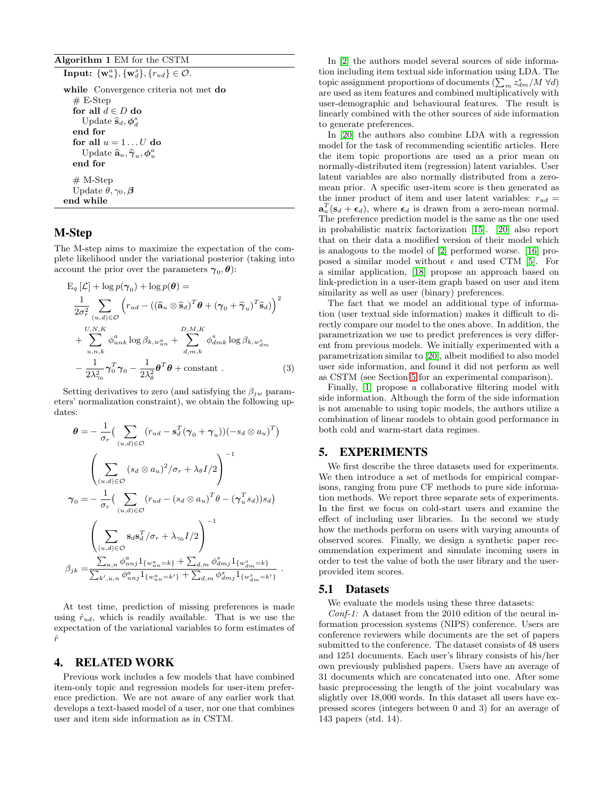<span id="page-3-0"></span>Algorithm 1 EM for the CSTM

Input:  $\{\mathbf w_u^a\}$ ,  $\{\mathbf w_d^s\}$ ,  $\{r_{ud}\} \in \mathcal{O}$ . while Convergence criteria not met do  $# E-Step$ for all  $d\in D$  do Update  $\hat{\mathbf{s}}_d, \boldsymbol{\phi}_d^s$ end for for all  $u = 1...U$  do Update  $\hat{\mathbf{a}}_u, \hat{\boldsymbol{\gamma}}_u, \boldsymbol{\phi}_u^a$ end for  $#$  M-Step Update  $\theta$ ,  $\gamma_0$ ,  $\boldsymbol{\beta}$ end while

# M-Step

The M-step aims to maximize the expectation of the complete likelihood under the variational posterior (taking into account the prior over the parameters  $\gamma_0, \theta$ ):

$$
E_q \left[ \mathcal{L} \right] + \log p(\gamma_0) + \log p(\boldsymbol{\theta}) =
$$
  
\n
$$
\frac{1}{2\sigma_r^2} \sum_{(u,d) \in \mathcal{O}} \left( r_{ud} - \left( (\hat{\mathbf{a}}_u \otimes \hat{\mathbf{s}}_d)^T \boldsymbol{\theta} + (\gamma_0 + \hat{\gamma}_u)^T \hat{\mathbf{s}}_d \right) \right)^2
$$
  
\n
$$
+ \sum_{u,n,k} U_{n,k}^{N,K} \phi_{unk}^a \log \beta_{k,w_{un}^a} + \sum_{d,m,k} D_{n,k}^{N,K} \phi_{dmk}^s \log \beta_{k,w_{dm}^s}
$$
  
\n
$$
- \frac{1}{2\lambda_{\gamma_0}^2} \gamma_0^T \gamma_0 - \frac{1}{2\lambda_{\theta}^2} \boldsymbol{\theta}^T \boldsymbol{\theta} + \text{constant} . \tag{3}
$$

Setting derivatives to zero (and satisfying the  $\beta_{jw}$  parameters' normalization constraint), we obtain the following updates:

$$
\theta = -\frac{1}{\sigma_r} \Big( \sum_{(u,d) \in \mathcal{O}} (r_{ud} - \mathbf{s}_d^T (\gamma_0 + \gamma_u)) (-s_d \otimes a_u)^T \Big)
$$

$$
\left( \sum_{(u,d) \in \mathcal{O}} (s_d \otimes a_u)^2 / \sigma_r + \lambda_{\theta} I/2 \right)^{-1}
$$

$$
\gamma_0 = -\frac{1}{\sigma_r} \Big( \sum_{(u,d) \in \mathcal{O}} (r_{ud} - (s_d \otimes a_u)^T \theta - (\gamma_u^T s_d)) s_d \Big)
$$

$$
\left( \sum_{(u,d) \in \mathcal{O}} \mathbf{s}_d \mathbf{s}_d^T / \sigma_r + \lambda_{\gamma_0} I/2 \right)^{-1}
$$

$$
\beta_{jk} = \frac{\sum_{u,n} \phi_{unj}^a 1_{\{w_{un}^a = k\}} + \sum_{d,m} \phi_{dmj}^s 1_{\{w_{dm}^s = k\}}}{\sum_{k',u,n} \phi_{unj}^a 1_{\{w_{un}^a = k'\}} + \sum_{d,m} \phi_{dmj}^s 1_{\{w_{dm}^s = k'\}} }.
$$

At test time, prediction of missing preferences is made using  $\hat{r}_{ud}$ , which is readily available. That is we use the expectation of the variational variables to form estimates of  $\hat{r}$ 

# <span id="page-3-2"></span>4. RELATED WORK

Previous work includes a few models that have combined item-only topic and regression models for user-item preference prediction. We are not aware of any earlier work that develops a text-based model of a user, nor one that combines user and item side information as in CSTM.

In [\[2\]](#page-8-9) the authors model several sources of side information including item textual side information using LDA. The topic assignment proportions of documents  $(\sum_m z_{dm}^s/M \ \forall d)$ are used as item features and combined multiplicatively with user-demographic and behavioural features. The result is linearly combined with the other sources of side information to generate preferences.

In [\[20\]](#page-8-1) the authors also combine LDA with a regression model for the task of recommending scientific articles. Here the item topic proportions are used as a prior mean on normally-distributed item (regression) latent variables. User latent variables are also normally distributed from a zeromean prior. A specific user-item score is then generated as the inner product of item and user latent variables:  $r_{ud}$  =  $\mathbf{a}_{u}^{T}(\mathbf{s}_{d}+\boldsymbol{\epsilon}_{d}),$  where  $\boldsymbol{\epsilon}_{d}$  is drawn from a zero-mean normal. The preference prediction model is the same as the one used in probabilistic matrix factorization [\[15\]](#page-8-4). [\[20\]](#page-8-1) also report that on their data a modified version of their model which is analogous to the model of [\[2\]](#page-8-9) performed worse. [\[16\]](#page-8-10) proposed a similar model without  $\epsilon$  and used CTM [\[5\]](#page-8-2). For a similar application, [\[18\]](#page-8-11) propose an approach based on link-prediction in a user-item graph based on user and item similarity as well as user (binary) preferences.

The fact that we model an additional type of information (user textual side information) makes it difficult to directly compare our model to the ones above. In addition, the parametrization we use to predict preferences is very different from previous models. We initially experimented with a parametrization similar to [\[20\]](#page-8-1), albeit modified to also model user side information, and found it did not perform as well as CSTM (see Section [5](#page-3-1) for an experimental comparison).

Finally, [\[1\]](#page-8-12) propose a collaborative filtering model with side information. Although the form of the side information is not amenable to using topic models, the authors utilize a combination of linear models to obtain good performance in both cold and warm-start data regimes.

# <span id="page-3-1"></span>5. EXPERIMENTS

We first describe the three datasets used for experiments. We then introduce a set of methods for empirical comparisons, ranging from pure CF methods to pure side information methods. We report three separate sets of experiments. In the first we focus on cold-start users and examine the effect of including user libraries. In the second we study how the methods perform on users with varying amounts of observed scores. Finally, we design a synthetic paper recommendation experiment and simulate incoming users in order to test the value of both the user library and the userprovided item scores.

#### 5.1 Datasets

We evaluate the models using these three datasets:

*Conf-1:* A dataset from the 2010 edition of the neural information procession systems (NIPS) conference. Users are conference reviewers while documents are the set of papers submitted to the conference. The dataset consists of 48 users and 1251 documents. Each user's library consists of his/her own previously published papers. Users have an average of 31 documents which are concatenated into one. After some basic preprocessing the length of the joint vocabulary was slightly over 18,000 words. In this dataset all users have expressed scores (integers between 0 and 3) for an average of 143 papers (std. 14).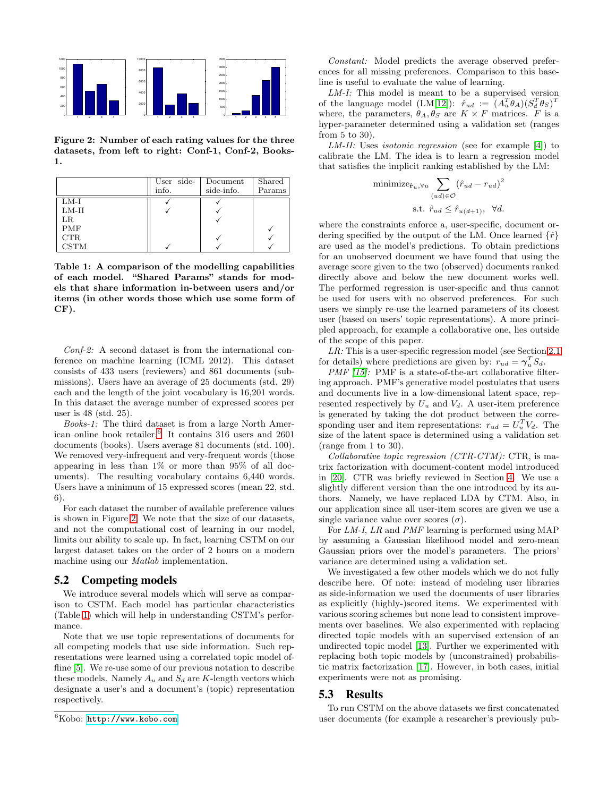

<span id="page-4-1"></span>Figure 2: Number of each rating values for the three datasets, from left to right: Conf-1, Conf-2, Books-1.

|                   | User side-<br>info. | Document<br>side-info. | Shared<br>Params |
|-------------------|---------------------|------------------------|------------------|
| $\overline{LM-I}$ |                     |                        |                  |
| $LM-II$           |                     |                        |                  |
| LR                |                     |                        |                  |
| <b>PMF</b>        |                     |                        |                  |
| CTR               |                     |                        |                  |
| <b>CSTM</b>       |                     |                        |                  |

<span id="page-4-2"></span>Table 1: A comparison of the modelling capabilities of each model. "Shared Params" stands for models that share information in-between users and/or items (in other words those which use some form of CF).

*Conf-2:* A second dataset is from the international conference on machine learning (ICML 2012). This dataset consists of 433 users (reviewers) and 861 documents (submissions). Users have an average of 25 documents (std. 29) each and the length of the joint vocabulary is 16,201 words. In this dataset the average number of expressed scores per user is 48 (std. 25).

*Books-1:* The third dataset is from a large North American online book retailer.[6](#page-4-0) It contains 316 users and 2601 documents (books). Users average 81 documents (std. 100). We removed very-infrequent and very-frequent words (those appearing in less than 1% or more than 95% of all documents). The resulting vocabulary contains 6,440 words. Users have a minimum of 15 expressed scores (mean 22, std. 6).

For each dataset the number of available preference values is shown in Figure [2.](#page-4-1) We note that the size of our datasets, and not the computational cost of learning in our model, limits our ability to scale up. In fact, learning CSTM on our largest dataset takes on the order of 2 hours on a modern machine using our *Matlab* implementation.

## 5.2 Competing models

We introduce several models which will serve as comparison to CSTM. Each model has particular characteristics (Table [1\)](#page-4-2) which will help in understanding CSTM's performance.

Note that we use topic representations of documents for all competing models that use side information. Such representations were learned using a correlated topic model of-fline [\[5\]](#page-8-2). We re-use some of our previous notation to describe these models. Namely  $A_u$  and  $S_d$  are K-length vectors which designate a user's and a document's (topic) representation respectively.

*Constant:* Model predicts the average observed preferences for all missing preferences. Comparison to this baseline is useful to evaluate the value of learning.

*LM-I:* This model is meant to be a supervised version of the language model (LM[\[12\]](#page-8-3)):  $\hat{r}_{ud} := (A_u^T \theta_A)(S_d^T \theta_S)^T$ where, the parameters,  $\theta_A, \theta_S$  are  $K \times F$  matrices. F is a hyper-parameter determined using a validation set (ranges from 5 to 30).

*LM-II:* Uses *isotonic regression* (see for example [\[4\]](#page-8-13)) to calibrate the LM. The idea is to learn a regression model that satisfies the implicit ranking established by the LM:

$$
\begin{aligned} \text{minimize}_{\mathbf{\hat{r}}_u, \forall u} \sum_{(ud) \in \mathcal{O}} \left( \hat{r}_{ud} - r_{ud} \right)^2 \\ \text{s.t. } \hat{r}_{ud} \leq \hat{r}_{u(d+1)}, \ \ \forall d. \end{aligned}
$$

where the constraints enforce a, user-specific, document ordering specified by the output of the LM. Once learned  $\{\hat{r}\}\$ are used as the model's predictions. To obtain predictions for an unobserved document we have found that using the average score given to the two (observed) documents ranked directly above and below the new document works well. The performed regression is user-specific and thus cannot be used for users with no observed preferences. For such users we simply re-use the learned parameters of its closest user (based on users' topic representations). A more principled approach, for example a collaborative one, lies outside of the scope of this paper.

*LR:* This is a user-specific regression model (see Section [2.1](#page-1-3) for details) where predictions are given by:  $r_{ud} = \gamma_u^T S_d$ .

*PMF [\[15\]](#page-8-4):* PMF is a state-of-the-art collaborative filtering approach. PMF's generative model postulates that users and documents live in a low-dimensional latent space, represented respectively by  $U_u$  and  $V_d$ . A user-item preference is generated by taking the dot product between the corresponding user and item representations:  $r_{ud} = U_u^T V_d$ . The size of the latent space is determined using a validation set (range from 1 to 30).

*Collaborative topic regression (CTR-CTM):* CTR, is matrix factorization with document-content model introduced in [\[20\]](#page-8-1). CTR was briefly reviewed in Section [4.](#page-3-2) We use a slightly different version than the one introduced by its authors. Namely, we have replaced LDA by CTM. Also, in our application since all user-item scores are given we use a single variance value over scores  $(\sigma)$ .

For *LM-I*, *LR* and *PMF* learning is performed using MAP by assuming a Gaussian likelihood model and zero-mean Gaussian priors over the model's parameters. The priors' variance are determined using a validation set.

We investigated a few other models which we do not fully describe here. Of note: instead of modeling user libraries as side-information we used the documents of user libraries as explicitly (highly-)scored items. We experimented with various scoring schemes but none lead to consistent improvements over baselines. We also experimented with replacing directed topic models with an supervised extension of an undirected topic model [\[13\]](#page-8-14). Further we experimented with replacing both topic models by (unconstrained) probabilistic matrix factorization [\[17\]](#page-8-15). However, in both cases, initial experiments were not as promising.

#### 5.3 Results

To run CSTM on the above datasets we first concatenated user documents (for example a researcher's previously pub-

<span id="page-4-0"></span> ${}^{6}$ Kobo: <http://www.kobo.com>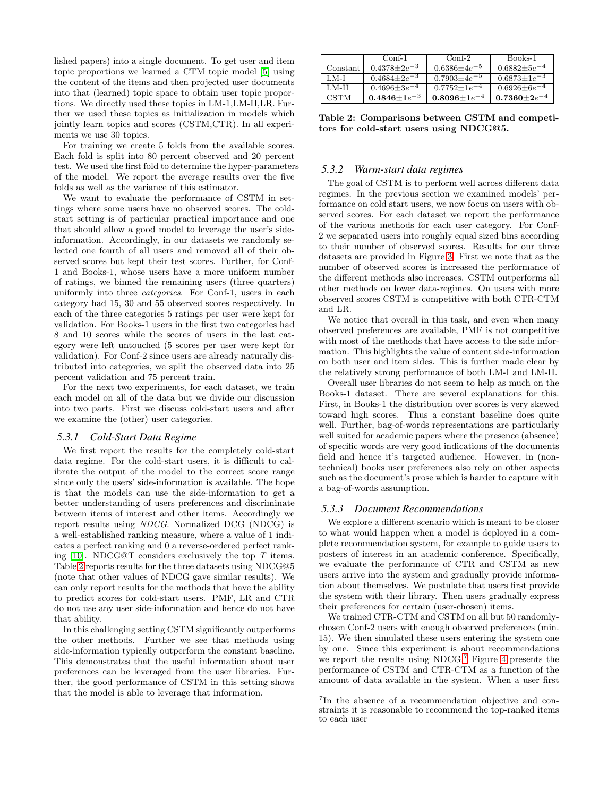lished papers) into a single document. To get user and item topic proportions we learned a CTM topic model [\[5\]](#page-8-2) using the content of the items and then projected user documents into that (learned) topic space to obtain user topic proportions. We directly used these topics in LM-1,LM-II,LR. Further we used these topics as initialization in models which jointly learn topics and scores (CSTM,CTR). In all experiments we use 30 topics.

For training we create 5 folds from the available scores. Each fold is split into 80 percent observed and 20 percent test. We used the first fold to determine the hyper-parameters of the model. We report the average results over the five folds as well as the variance of this estimator.

We want to evaluate the performance of CSTM in settings where some users have no observed scores. The coldstart setting is of particular practical importance and one that should allow a good model to leverage the user's sideinformation. Accordingly, in our datasets we randomly selected one fourth of all users and removed all of their observed scores but kept their test scores. Further, for Conf-1 and Books-1, whose users have a more uniform number of ratings, we binned the remaining users (three quarters) uniformly into three *categories*. For Conf-1, users in each category had 15, 30 and 55 observed scores respectively. In each of the three categories 5 ratings per user were kept for validation. For Books-1 users in the first two categories had 8 and 10 scores while the scores of users in the last category were left untouched (5 scores per user were kept for validation). For Conf-2 since users are already naturally distributed into categories, we split the observed data into 25 percent validation and 75 percent train.

For the next two experiments, for each dataset, we train each model on all of the data but we divide our discussion into two parts. First we discuss cold-start users and after we examine the (other) user categories.

#### *5.3.1 Cold-Start Data Regime*

We first report the results for the completely cold-start data regime. For the cold-start users, it is difficult to calibrate the output of the model to the correct score range since only the users' side-information is available. The hope is that the models can use the side-information to get a better understanding of users preferences and discriminate between items of interest and other items. Accordingly we report results using *NDCG*. Normalized DCG (NDCG) is a well-established ranking measure, where a value of 1 indicates a perfect ranking and 0 a reverse-ordered perfect ranking [\[10\]](#page-8-16). NDCG@T considers exclusively the top *T* items. Table [2](#page-5-0) reports results for the three datasets using NDCG@5 (note that other values of NDCG gave similar results). We can only report results for the methods that have the ability to predict scores for cold-start users. PMF, LR and CTR do not use any user side-information and hence do not have that ability.

In this challenging setting CSTM significantly outperforms the other methods. Further we see that methods using side-information typically outperform the constant baseline. This demonstrates that the useful information about user preferences can be leveraged from the user libraries. Further, the good performance of CSTM in this setting shows that the model is able to leverage that information.

|             | $Conf-1$             | $Conf-2$             | Books-1              |
|-------------|----------------------|----------------------|----------------------|
| Constant    | $0.4378 \pm 2e^{-3}$ | $0.6386 \pm 4e^{-5}$ | $0.6882 + 5e^{-4}$   |
| LM-L        | $0.4684 \pm 2e^{-3}$ | $0.7903 \pm 4e^{-5}$ | $0.6873 \pm 1e^{-3}$ |
| LM-II       | $0.4696 \pm 3e^{-4}$ | $0.7752 + 1e^{-4}$   | $0.6926 \pm 6e^{-4}$ |
| <b>CSTM</b> | $0.4846 \pm 1e^{-3}$ | $0.8096 \pm 1e^{-4}$ | $0.7360{\pm}2e^{-4}$ |

<span id="page-5-0"></span>Table 2: Comparisons between CSTM and competitors for cold-start users using NDCG@5.

#### *5.3.2 Warm-start data regimes*

The goal of CSTM is to perform well across different data regimes. In the previous section we examined models' performance on cold start users, we now focus on users with observed scores. For each dataset we report the performance of the various methods for each user category. For Conf-2 we separated users into roughly equal sized bins according to their number of observed scores. Results for our three datasets are provided in Figure [3.](#page-6-0) First we note that as the number of observed scores is increased the performance of the different methods also increases. CSTM outperforms all other methods on lower data-regimes. On users with more observed scores CSTM is competitive with both CTR-CTM and LR.

We notice that overall in this task, and even when many observed preferences are available, PMF is not competitive with most of the methods that have access to the side information. This highlights the value of content side-information on both user and item sides. This is further made clear by the relatively strong performance of both LM-I and LM-II.

Overall user libraries do not seem to help as much on the Books-1 dataset. There are several explanations for this. First, in Books-1 the distribution over scores is very skewed toward high scores. Thus a constant baseline does quite well. Further, bag-of-words representations are particularly well suited for academic papers where the presence (absence) of specific words are very good indications of the documents field and hence it's targeted audience. However, in (nontechnical) books user preferences also rely on other aspects such as the document's prose which is harder to capture with a bag-of-words assumption.

#### *5.3.3 Document Recommendations*

We explore a different scenario which is meant to be closer to what would happen when a model is deployed in a complete recommendation system, for example to guide users to posters of interest in an academic conference. Specifically, we evaluate the performance of CTR and CSTM as new users arrive into the system and gradually provide information about themselves. We postulate that users first provide the system with their library. Then users gradually express their preferences for certain (user-chosen) items.

We trained CTR-CTM and CSTM on all but 50 randomlychosen Conf-2 users with enough observed preferences (min. 15). We then simulated these users entering the system one by one. Since this experiment is about recommendations we report the results using NDCG.[7](#page-5-1) Figure [4](#page-7-0) presents the performance of CSTM and CTR-CTM as a function of the amount of data available in the system. When a user first

<span id="page-5-1"></span><sup>7</sup> In the absence of a recommendation objective and constraints it is reasonable to recommend the top-ranked items to each user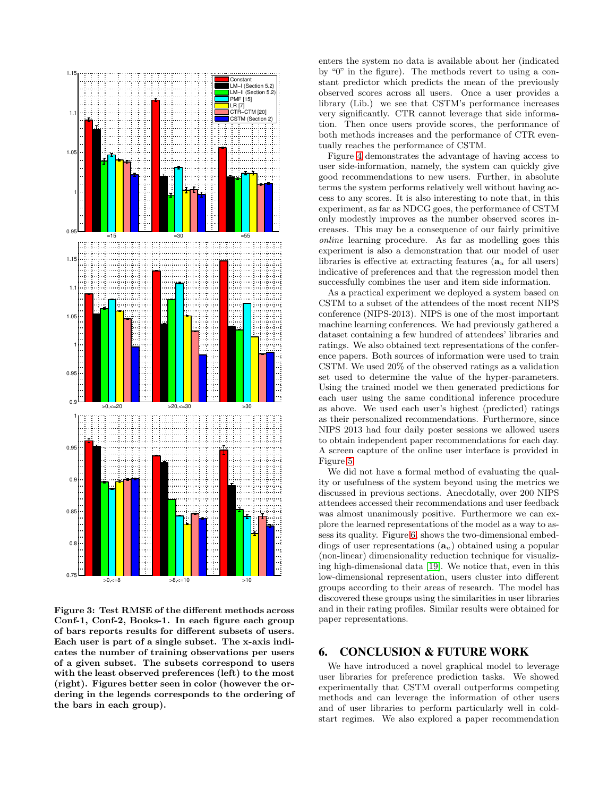

<span id="page-6-0"></span>Figure 3: Test RMSE of the different methods across Conf-1, Conf-2, Books-1. In each figure each group of bars reports results for different subsets of users. Each user is part of a single subset. The x-axis indicates the number of training observations per users of a given subset. The subsets correspond to users with the least observed preferences (left) to the most (right). Figures better seen in color (however the ordering in the legends corresponds to the ordering of the bars in each group).

enters the system no data is available about her (indicated by "0" in the figure). The methods revert to using a constant predictor which predicts the mean of the previously observed scores across all users. Once a user provides a library (Lib.) we see that CSTM's performance increases very significantly. CTR cannot leverage that side information. Then once users provide scores, the performance of both methods increases and the performance of CTR eventually reaches the performance of CSTM.

Figure [4](#page-7-0) demonstrates the advantage of having access to user side-information, namely, the system can quickly give good recommendations to new users. Further, in absolute terms the system performs relatively well without having access to any scores. It is also interesting to note that, in this experiment, as far as NDCG goes, the performance of CSTM only modestly improves as the number observed scores increases. This may be a consequence of our fairly primitive *online* learning procedure. As far as modelling goes this experiment is also a demonstration that our model of user libraries is effective at extracting features  $(a<sub>u</sub>$  for all users) indicative of preferences and that the regression model then successfully combines the user and item side information.

As a practical experiment we deployed a system based on CSTM to a subset of the attendees of the most recent NIPS conference (NIPS-2013). NIPS is one of the most important machine learning conferences. We had previously gathered a dataset containing a few hundred of attendees' libraries and ratings. We also obtained text representations of the conference papers. Both sources of information were used to train CSTM. We used 20% of the observed ratings as a validation set used to determine the value of the hyper-parameters. Using the trained model we then generated predictions for each user using the same conditional inference procedure as above. We used each user's highest (predicted) ratings as their personalized recommendations. Furthermore, since NIPS 2013 had four daily poster sessions we allowed users to obtain independent paper recommendations for each day. A screen capture of the online user interface is provided in Figure [5.](#page-7-1)

We did not have a formal method of evaluating the quality or usefulness of the system beyond using the metrics we discussed in previous sections. Anecdotally, over 200 NIPS attendees accessed their recommendations and user feedback was almost unanimously positive. Furthermore we can explore the learned representations of the model as a way to assess its quality. Figure [6,](#page-7-2) shows the two-dimensional embeddings of user representations  $(a<sub>u</sub>)$  obtained using a popular (non-linear) dimensionality reduction technique for visualizing high-dimensional data [\[19\]](#page-8-17). We notice that, even in this low-dimensional representation, users cluster into different groups according to their areas of research. The model has discovered these groups using the similarities in user libraries and in their rating profiles. Similar results were obtained for paper representations.

# 6. CONCLUSION & FUTURE WORK

We have introduced a novel graphical model to leverage user libraries for preference prediction tasks. We showed experimentally that CSTM overall outperforms competing methods and can leverage the information of other users and of user libraries to perform particularly well in coldstart regimes. We also explored a paper recommendation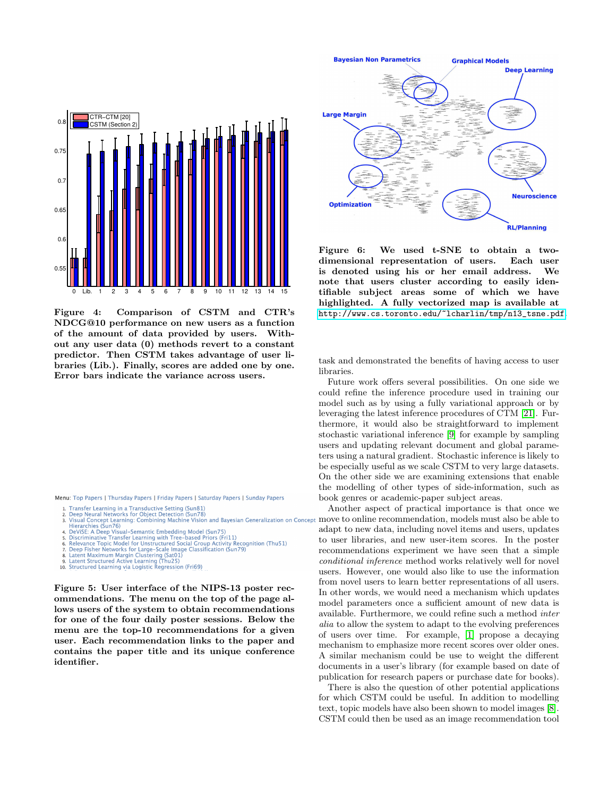

<span id="page-7-0"></span>Figure 4: Comparison of CSTM and CTR's NDCG@10 performance on new users as a function of the amount of data provided by users. Without any user data (0) methods revert to a constant predictor. Then CSTM takes advantage of user libraries (Lib.). Finally, scores are added one by one. Error bars indicate the variance across users.

Menu: Top Papers | Thursday Papers | Friday Papers | Saturday Papers | Sunday Papers

- Transfer Learning in a Transductive Setting (Sun81)
- Deep Neural Networks for Object Detection (Sun78) Deep weural Networks for Object Detection (Sun) 6)<br>Visual Concept Learning: Combining Machine Vision and Bayesian Generalization on Concept<br>Hierarchies (Sun76)<br>DeViSE: A Deep Visual-Semantic Embedding Model (Sun75)
- 
- 
- 
- Discriminative Transfer Learning with Tree-based Priors (Fri11)<br>Relevance Topic Model for Unstructured Social Group Activity Recognition (Thu51)
- 
- 
- **a** Reevalue Follower For Units (Capture Toward Coviat Group Activity Records 2. Deep Fisher Networks for Large-Scale Image Classification (Sun79)<br>**3.** Latent Maximum Margin Clustering (Sat01)<br>10. Latent Structured Active

<span id="page-7-1"></span>Figure 5: User interface of the NIPS-13 poster recommendations. The menu on the top of the page allows users of the system to obtain recommendations for one of the four daily poster sessions. Below the menu are the top-10 recommendations for a given user. Each recommendation links to the paper and contains the paper title and its unique conference identifier.



<span id="page-7-2"></span>Figure 6: We used t-SNE to obtain a twodimensional representation of users. Each user is denoted using his or her email address. We note that users cluster according to easily identifiable subject areas some of which we have highlighted. A fully vectorized map is available at [http://www.cs.toronto.edu/~lcharlin/tmp/n13\\_tsne.pdf](http://www.cs.toronto.edu/~lcharlin/tmp/n13_tsne.pdf).

task and demonstrated the benefits of having access to user libraries.

Future work offers several possibilities. On one side we could refine the inference procedure used in training our model such as by using a fully variational approach or by leveraging the latest inference procedures of CTM [\[21\]](#page-8-18). Furthermore, it would also be straightforward to implement stochastic variational inference [\[9\]](#page-8-19) for example by sampling users and updating relevant document and global parameters using a natural gradient. Stochastic inference is likely to be especially useful as we scale CSTM to very large datasets. On the other side we are examining extensions that enable the modelling of other types of side-information, such as book genres or academic-paper subject areas.

Another aspect of practical importance is that once we move to online recommendation, models must also be able to adapt to new data, including novel items and users, updates to user libraries, and new user-item scores. In the poster recommendations experiment we have seen that a simple *conditional inference* method works relatively well for novel users. However, one would also like to use the information from novel users to learn better representations of all users. In other words, we would need a mechanism which updates model parameters once a sufficient amount of new data is available. Furthermore, we could refine such a method *inter alia* to allow the system to adapt to the evolving preferences of users over time. For example, [\[1\]](#page-8-12) propose a decaying mechanism to emphasize more recent scores over older ones. A similar mechanism could be use to weight the different documents in a user's library (for example based on date of publication for research papers or purchase date for books).

There is also the question of other potential applications for which CSTM could be useful. In addition to modelling text, topic models have also been shown to model images [\[8\]](#page-8-20). CSTM could then be used as an image recommendation tool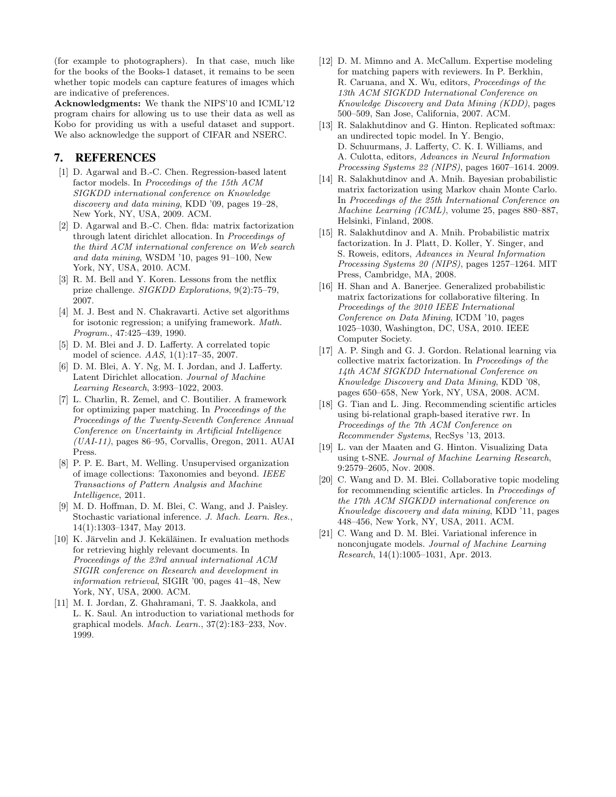(for example to photographers). In that case, much like for the books of the Books-1 dataset, it remains to be seen whether topic models can capture features of images which are indicative of preferences.

Acknowledgments: We thank the NIPS'10 and ICML'12 program chairs for allowing us to use their data as well as Kobo for providing us with a useful dataset and support. We also acknowledge the support of CIFAR and NSERC.

# <span id="page-8-12"></span>7. REFERENCES

- [1] D. Agarwal and B.-C. Chen. Regression-based latent factor models. In *Proceedings of the 15th ACM SIGKDD international conference on Knowledge discovery and data mining*, KDD '09, pages 19–28, New York, NY, USA, 2009. ACM.
- <span id="page-8-9"></span>[2] D. Agarwal and B.-C. Chen. flda: matrix factorization through latent dirichlet allocation. In *Proceedings of the third ACM international conference on Web search and data mining*, WSDM '10, pages 91–100, New York, NY, USA, 2010. ACM.
- <span id="page-8-6"></span>[3] R. M. Bell and Y. Koren. Lessons from the netflix prize challenge. *SIGKDD Explorations*, 9(2):75–79, 2007.
- <span id="page-8-13"></span>[4] M. J. Best and N. Chakravarti. Active set algorithms for isotonic regression; a unifying framework. *Math. Program.*, 47:425–439, 1990.
- <span id="page-8-2"></span>[5] D. M. Blei and J. D. Lafferty. A correlated topic model of science. *AAS*, 1(1):17–35, 2007.
- <span id="page-8-7"></span>[6] D. M. Blei, A. Y. Ng, M. I. Jordan, and J. Lafferty. Latent Dirichlet allocation. *Journal of Machine Learning Research*, 3:993–1022, 2003.
- <span id="page-8-0"></span>[7] L. Charlin, R. Zemel, and C. Boutilier. A framework for optimizing paper matching. In *Proceedings of the Proceedings of the Twenty-Seventh Conference Annual Conference on Uncertainty in Artificial Intelligence (UAI-11)*, pages 86–95, Corvallis, Oregon, 2011. AUAI Press.
- <span id="page-8-20"></span>[8] P. P. E. Bart, M. Welling. Unsupervised organization of image collections: Taxonomies and beyond. *IEEE Transactions of Pattern Analysis and Machine Intelligence*, 2011.
- <span id="page-8-19"></span>[9] M. D. Hoffman, D. M. Blei, C. Wang, and J. Paisley. Stochastic variational inference. *J. Mach. Learn. Res.*, 14(1):1303–1347, May 2013.
- <span id="page-8-16"></span>[10] K. Järvelin and J. Kekäläinen. Ir evaluation methods for retrieving highly relevant documents. In *Proceedings of the 23rd annual international ACM SIGIR conference on Research and development in information retrieval*, SIGIR '00, pages 41–48, New York, NY, USA, 2000. ACM.
- <span id="page-8-8"></span>[11] M. I. Jordan, Z. Ghahramani, T. S. Jaakkola, and L. K. Saul. An introduction to variational methods for graphical models. *Mach. Learn.*, 37(2):183–233, Nov. 1999.
- <span id="page-8-3"></span>[12] D. M. Mimno and A. McCallum. Expertise modeling for matching papers with reviewers. In P. Berkhin, R. Caruana, and X. Wu, editors, *Proceedings of the 13th ACM SIGKDD International Conference on Knowledge Discovery and Data Mining (KDD)*, pages 500–509, San Jose, California, 2007. ACM.
- <span id="page-8-14"></span>[13] R. Salakhutdinov and G. Hinton. Replicated softmax: an undirected topic model. In Y. Bengio, D. Schuurmans, J. Lafferty, C. K. I. Williams, and A. Culotta, editors, *Advances in Neural Information Processing Systems 22 (NIPS)*, pages 1607–1614. 2009.
- <span id="page-8-5"></span>[14] R. Salakhutdinov and A. Mnih. Bayesian probabilistic matrix factorization using Markov chain Monte Carlo. In *Proceedings of the 25th International Conference on Machine Learning (ICML)*, volume 25, pages 880–887, Helsinki, Finland, 2008.
- <span id="page-8-4"></span>[15] R. Salakhutdinov and A. Mnih. Probabilistic matrix factorization. In J. Platt, D. Koller, Y. Singer, and S. Roweis, editors, *Advances in Neural Information Processing Systems 20 (NIPS)*, pages 1257–1264. MIT Press, Cambridge, MA, 2008.
- <span id="page-8-10"></span>[16] H. Shan and A. Banerjee. Generalized probabilistic matrix factorizations for collaborative filtering. In *Proceedings of the 2010 IEEE International Conference on Data Mining*, ICDM '10, pages 1025–1030, Washington, DC, USA, 2010. IEEE Computer Society.
- <span id="page-8-15"></span>[17] A. P. Singh and G. J. Gordon. Relational learning via collective matrix factorization. In *Proceedings of the 14th ACM SIGKDD International Conference on Knowledge Discovery and Data Mining*, KDD '08, pages 650–658, New York, NY, USA, 2008. ACM.
- <span id="page-8-11"></span>[18] G. Tian and L. Jing. Recommending scientific articles using bi-relational graph-based iterative rwr. In *Proceedings of the 7th ACM Conference on Recommender Systems*, RecSys '13, 2013.
- <span id="page-8-17"></span>[19] L. van der Maaten and G. Hinton. Visualizing Data using t-SNE. *Journal of Machine Learning Research*, 9:2579–2605, Nov. 2008.
- <span id="page-8-1"></span>[20] C. Wang and D. M. Blei. Collaborative topic modeling for recommending scientific articles. In *Proceedings of the 17th ACM SIGKDD international conference on Knowledge discovery and data mining*, KDD '11, pages 448–456, New York, NY, USA, 2011. ACM.
- <span id="page-8-18"></span>[21] C. Wang and D. M. Blei. Variational inference in nonconjugate models. *Journal of Machine Learning Research*, 14(1):1005–1031, Apr. 2013.